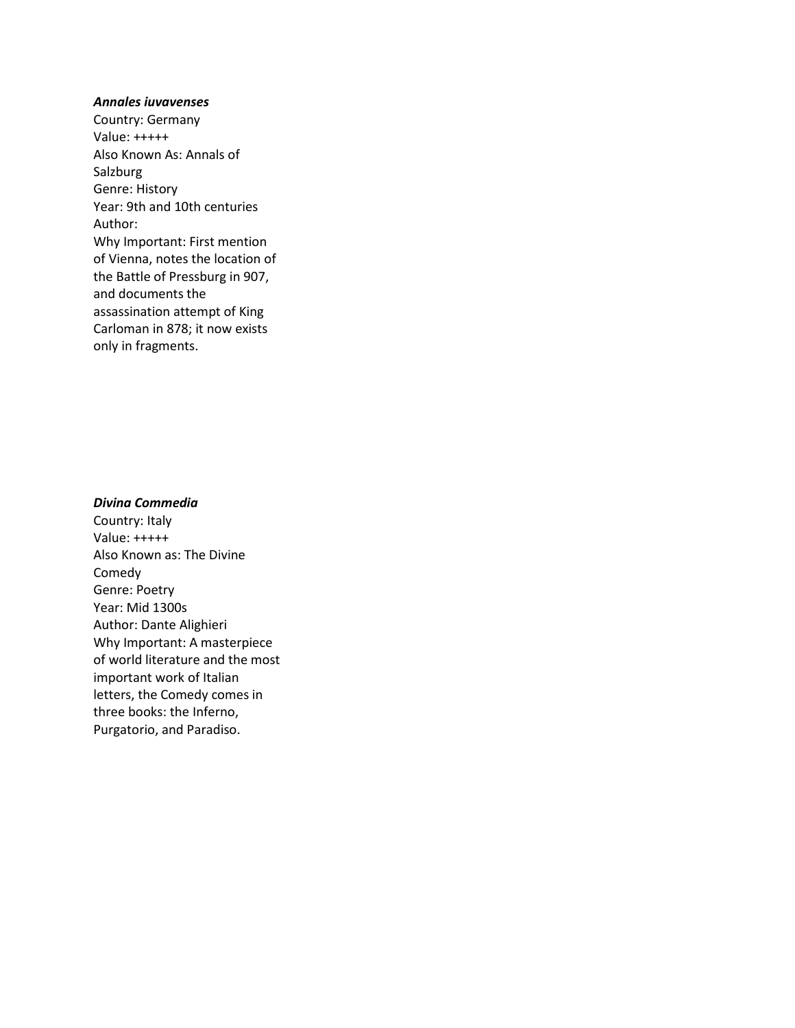#### *Annales iuvavenses*

Country: Germany Value: +++++ Also Known As: Annals of Salzburg Genre: History Year: 9th and 10th centuries Author: Why Important: First mention of Vienna, notes the location of the Battle of Pressburg in 907, and documents the assassination attempt of King Carloman in 878; it now exists only in fragments.

## *Divina Commedia*

Country: Italy Value: +++++ Also Known as: The Divine Comedy Genre: Poetry Year: Mid 1300s Author: Dante Alighieri Why Important: A masterpiece of world literature and the most important work of Italian letters, the Comedy comes in three books: the Inferno, Purgatorio, and Paradiso.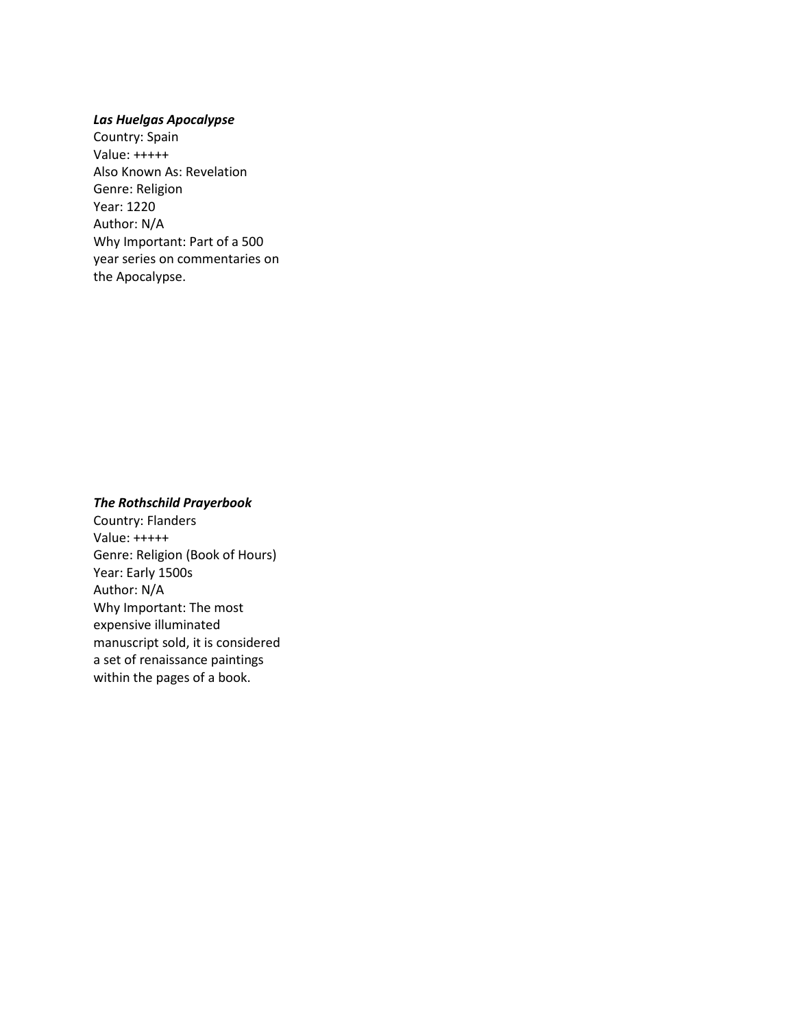### *Las Huelgas Apocalypse*

Country: Spain Value: +++++ Also Known As: Revelation Genre: Religion Year: 1220 Author: N/A Why Important: Part of a 500 year series on commentaries on the Apocalypse.

## *The Rothschild Prayerbook*

Country: Flanders Value: +++++ Genre: Religion (Book of Hours) Year: Early 1500s Author: N/A Why Important: The most expensive illuminated manuscript sold, it is considered a set of renaissance paintings within the pages of a book.